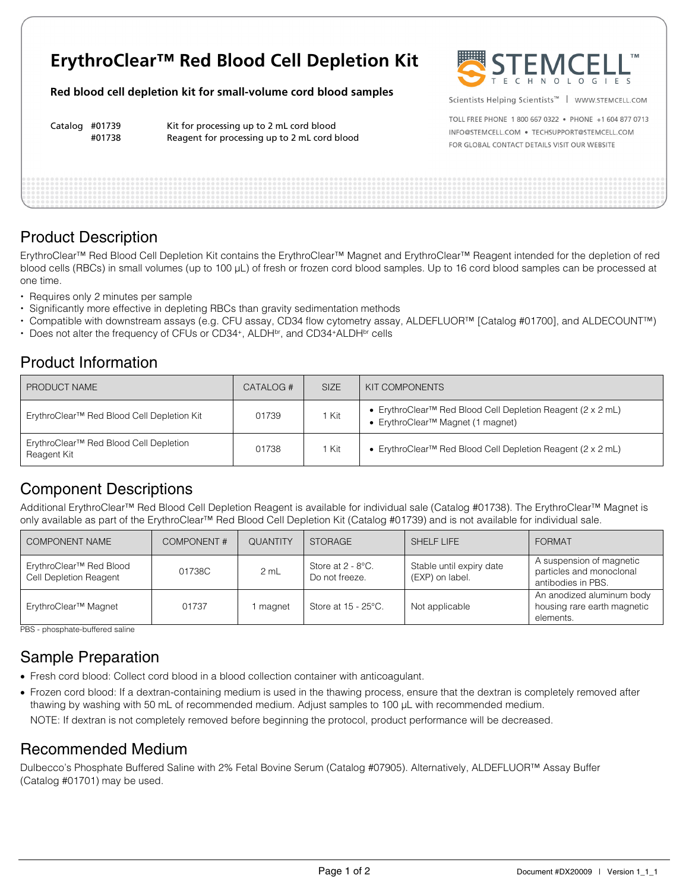# **ErythroClear™ Red Blood Cell Depletion Kit**

**Red blood cell depletion kit for small-volume cord blood samples** 

Catalog #01739 Kit for processing up to 2 mL cord blood #01738 Reagent for processing up to 2 mL cord blood



Scientists Helping Scientists™ | WWW.STEMCELL.COM

TOLL FREE PHONE 1 800 667 0322 · PHONE +1 604 877 0713 INFO@STEMCELL.COM . TECHSUPPORT@STEMCELL.COM FOR GLOBAL CONTACT DETAILS VISIT OUR WEBSITE

# Product Description

ErythroClear™ Red Blood Cell Depletion Kit contains the ErythroClear™ Magnet and ErythroClear™ Reagent intended for the depletion of red blood cells (RBCs) in small volumes (up to 100 µL) of fresh or frozen cord blood samples. Up to 16 cord blood samples can be processed at one time.

- Requires only 2 minutes per sample
- Significantly more effective in depleting RBCs than gravity sedimentation methods
- Compatible with downstream assays (e.g. CFU assay, CD34 flow cytometry assay, ALDEFLUOR™ [Catalog #01700], and ALDECOUNT™)
- Does not alter the frequency of CFUs or CD34<sup>+</sup>, ALDH<sup>br</sup>, and CD34<sup>+</sup>ALDH<sup>br</sup> cells

### Product Information

| PRODUCT NAME                                                      | CATALOG # | <b>SIZE</b> | KIT COMPONENTS                                                                                                           |
|-------------------------------------------------------------------|-----------|-------------|--------------------------------------------------------------------------------------------------------------------------|
| ErythroClear <sup>™</sup> Red Blood Cell Depletion Kit            | 01739     | 1 Kit       | • ErythroClear <sup>™</sup> Red Blood Cell Depletion Reagent (2 x 2 mL)<br>• ErythroClear <sup>™</sup> Magnet (1 magnet) |
| ErythroClear <sup>™</sup> Red Blood Cell Depletion<br>Reagent Kit | 01738     | 1 Kit       | • ErythroClear <sup>TM</sup> Red Blood Cell Depletion Reagent (2 x 2 mL)                                                 |

# Component Descriptions

Additional ErythroClear™ Red Blood Cell Depletion Reagent is available for individual sale (Catalog #01738). The ErythroClear™ Magnet is only available as part of the ErythroClear™ Red Blood Cell Depletion Kit (Catalog #01739) and is not available for individual sale.

| <b>COMPONENT NAME</b>                             | <b>COMPONENT#</b> | <b>QUANTITY</b> | <b>STORAGE</b>                         | SHELF LIFE                                  | <b>FORMAT</b>                                                              |
|---------------------------------------------------|-------------------|-----------------|----------------------------------------|---------------------------------------------|----------------------------------------------------------------------------|
| ErythroClear™ Red Blood<br>Cell Depletion Reagent | 01738C            | 2 mL            | Store at $2 - 8$ °C.<br>Do not freeze. | Stable until expiry date<br>(EXP) on label. | A suspension of magnetic<br>particles and monoclonal<br>antibodies in PBS. |
| ErythroClear <sup>™</sup> Magnet                  | 01737             | I magnet        | Store at 15 - 25°C.                    | Not applicable                              | An anodized aluminum body<br>housing rare earth magnetic<br>elements.      |

PBS - phosphate-buffered saline

# Sample Preparation

- Fresh cord blood: Collect cord blood in a blood collection container with anticoagulant.
- Frozen cord blood: If a dextran-containing medium is used in the thawing process, ensure that the dextran is completely removed after thawing by washing with 50 mL of recommended medium. Adjust samples to 100 µL with recommended medium.

NOTE: If dextran is not completely removed before beginning the protocol, product performance will be decreased.

#### Recommended Medium

Dulbecco's Phosphate Buffered Saline with 2% Fetal Bovine Serum (Catalog #07905). Alternatively, ALDEFLUOR™ Assay Buffer (Catalog #01701) may be used.